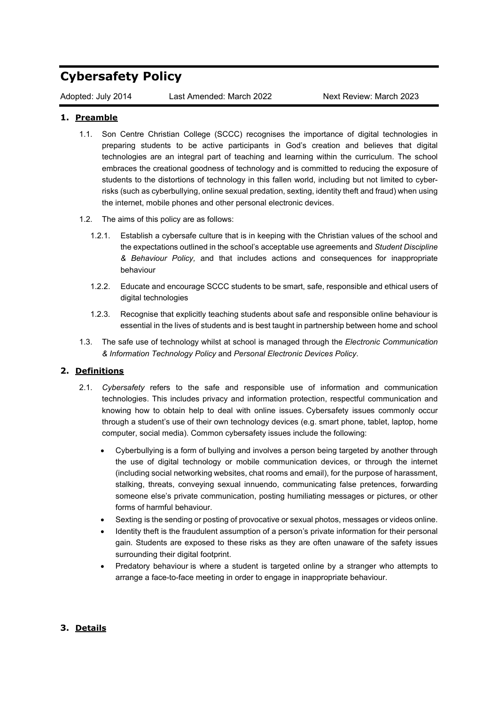## **Cybersafety Policy**

Adopted: July 2014 Last Amended: March 2022 Next Review: March 2023

## **1. Preamble**

- 1.1. Son Centre Christian College (SCCC) recognises the importance of digital technologies in preparing students to be active participants in God's creation and believes that digital technologies are an integral part of teaching and learning within the curriculum. The school embraces the creational goodness of technology and is committed to reducing the exposure of students to the distortions of technology in this fallen world, including but not limited to cyberrisks (such as cyberbullying, online sexual predation, sexting, identity theft and fraud) when using the internet, mobile phones and other personal electronic devices.
- 1.2. The aims of this policy are as follows:
	- 1.2.1. Establish a cybersafe culture that is in keeping with the Christian values of the school and the expectations outlined in the school's acceptable use agreements and *Student Discipline & Behaviour Policy,* and that includes actions and consequences for inappropriate behaviour
	- 1.2.2. Educate and encourage SCCC students to be smart, safe, responsible and ethical users of digital technologies
	- 1.2.3. Recognise that explicitly teaching students about safe and responsible online behaviour is essential in the lives of students and is best taught in partnership between home and school
- 1.3. The safe use of technology whilst at school is managed through the *[Electronic Communication](https://chairo.cspace.net.au/InformationCommunicationTechnologyICT)  [& Information Technology Policy](https://chairo.cspace.net.au/InformationCommunicationTechnologyICT)* and *Personal Electronic Devices Policy*.

## **2. Definitions**

- 2.1. *Cybersafety* refers to the safe and responsible use of information and communication technologies. This includes privacy and information protection, respectful communication and knowing how to obtain help to deal with online issues. Cybersafety issues commonly occur through a student's use of their own technology devices (e.g. smart phone, tablet, laptop, home computer, social media). Common cybersafety issues include the following:
	- Cyberbullying is a form of bullying and involves a person being targeted by another through the use of digital technology or mobile communication devices, or through the internet (including social networking websites, chat rooms and email), for the purpose of harassment, stalking, threats, conveying sexual innuendo, communicating false pretences, forwarding someone else's private communication, posting humiliating messages or pictures, or other forms of harmful behaviour.
	- Sexting is the sending or posting of provocative or sexual photos, messages or videos online.
	- Identity theft is the fraudulent assumption of a person's private information for their personal gain. Students are exposed to these risks as they are often unaware of the safety issues surrounding their digital footprint.
	- Predatory behaviour is where a student is targeted online by a stranger who attempts to arrange a face-to-face meeting in order to engage in inappropriate behaviour.

## **3. Details**